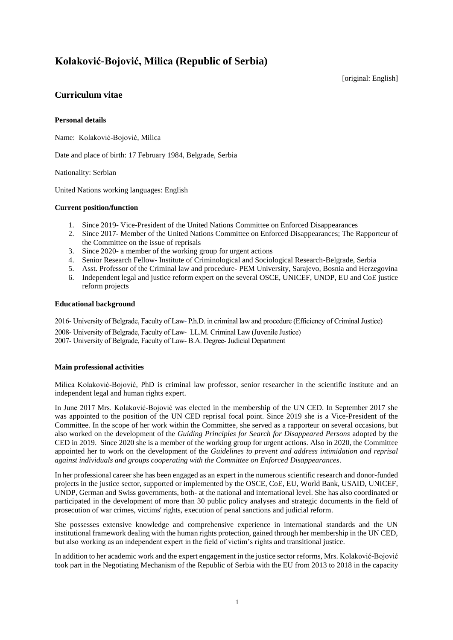# **Kolaković-Bojović, Milica (Republic of Serbia)**

[original: English]

# **Curriculum vitae**

# **Personal details**

Name: Kolaković-Bojović, Milica

Date and place of birth: 17 February 1984, Belgrade, Serbia

Nationality: Serbian

United Nations working languages: English

# **Current position/function**

- 1. Since 2019- Vice-President of the United Nations Committee on Enforced Disappearances
- 2. Since 2017- Member of the United Nations Committee on Enforced Disappearances; The Rapporteur of the Committee on the issue of reprisals
- 3. Since 2020- a member of the working group for urgent actions
- 4. Senior Research Fellow- Institute of Criminological and Sociological Research-Belgrade, Serbia
- 5. Asst. Professor of the Criminal law and procedure- PEM University, Sarajevo, Bosnia and Herzegovina
- 6. Independent legal and justice reform expert on the several OSCE, UNICEF, UNDP, EU and CoE justice reform projects

#### **Educational background**

2016- University of Belgrade, Faculty of Law- P.h.D. in criminal law and procedure (Efficiency of Criminal Justice) 2008- University of Belgrade, Faculty of Law- LL.M. Criminal Law (Juvenile Justice) 2007- University of Belgrade, Faculty of Law- B.A. Degree-Judicial Department

# **Main professional activities**

Milica Kolaković-Bojović, PhD is criminal law professor, senior researcher in the scientific institute and an independent legal and human rights expert.

In June 2017 Mrs. Kolaković-Bojović was elected in the membership of the UN CED. In September 2017 she was appointed to the position of the UN CED reprisal focal point. Since 2019 she is a Vice-President of the Committee. In the scope of her work within the Committee, she served as a rapporteur on several occasions, but also worked on the development of the *Guiding Principles for Search for Disappeared Persons* adopted by the CED in 2019. Since 2020 she is a member of the working group for urgent actions. Also in 2020, the Committee appointed her to work on the development of the *Guidelines to prevent and address intimidation and reprisal against individuals and groups cooperating with the Committee on Enforced Disappearances.*

In her professional career she has been engaged as an expert in the numerous scientific research and donor-funded projects in the justice sector, supported or implemented by the OSCE, CoE, EU, World Bank, USAID, UNICEF, UNDP, German and Swiss governments, both- at the national and international level. She has also coordinated or participated in the development of more than 30 public policy analyses and strategic documents in the field of prosecution of war crimes, victims' rights, execution of penal sanctions and judicial reform.

She possesses extensive knowledge and comprehensive experience in international standards and the UN institutional framework dealing with the human rights protection, gained through her membership in the UN CED, but also working as an independent expert in the field of victim's rights and transitional justice.

In addition to her academic work and the expert engagement in the justice sector reforms, Mrs. Kolaković-Bojović took part in the Negotiating Mechanism of the Republic of Serbia with the EU from 2013 to 2018 in the capacity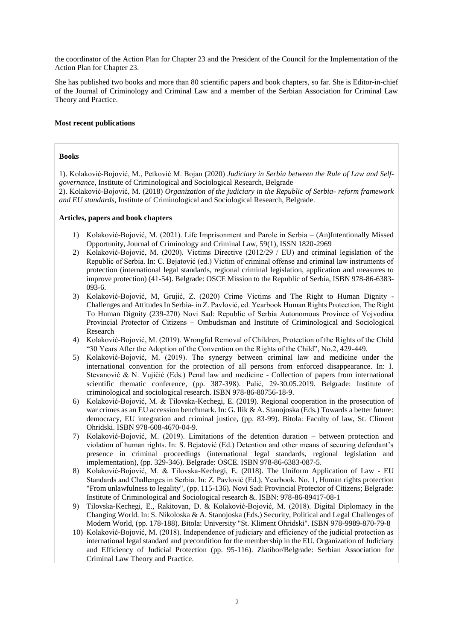the coordinator of the Action Plan for Chapter 23 and the President of the Council for the Implementation of the Action Plan for Chapter 23.

She has published two books and more than 80 scientific papers and book chapters, so far. She is Editor-in-chief of the Journal of Criminology and Criminal Law and a member of the Serbian Association for Criminal Law Theory and Practice.

#### **Most recent publications**

### **Books**

1). Kolaković-Bojović, M., Petković M. Bojan (2020) *Judiciary in Serbia between the Rule of Law and Selfgovernance*, Institute of Criminological and Sociological Research, Belgrade

2). Kolaković-Bojović, M. (2018) *Organization of the judiciary in the Republic of Serbia- reform framework and EU standards*, Institute of Criminological and Sociological Research, Belgrade.

#### **Articles, papers and book chapters**

- 1) Kolaković-Bojović, M. (2021). Life Imprisonment and Parole in Serbia (An)Intentionally Missed Opportunity, Journal of Criminology and Criminal Law, 59(1), ISSN 1820-2969
- 2) Kolaković-Bojović, M. (2020). Victims Directive (2012/29 / EU) and criminal legislation of the Republic of Serbia. In: С. Bejatović (ed.) Victim of criminal offense and criminal law instruments of protection (international legal standards, regional criminal legislation, application and measures to improve protection) (41-54). Belgrade: OSCE Mission to the Republic of Serbia, ISBN 978-86-6383- 093-6.
- 3) Kolaković-Bojović, M, Grujić, Z. (2020) Crime Victims and The Right to Human Dignity Challenges and Attitudes In Serbia- in Z. Pavlović, ed. Yearbook Human Rights Protection, The Right To Human Dignity (239-270) Novi Sad: Republic of Serbia Autonomous Province of Vојvоdinа Prоvincial Protector of Citizens – Ombudsman and Institute of Criminological and Sociological Research
- 4) Kolaković-Bojović, M. (2019). Wrongful Removal of Children, Protection of the Rights of the Child "30 Years After the Adoption of the Convention on the Rights of the Child", No.2, 429-449.
- 5) Kolaković-Bojović, M. (2019). The synergy between criminal law and medicine under the international convention for the protection of all persons from enforced disappearance. In: I. Stevanović & N. Vujičić (Eds.) Penal law and medicine - Collection of papers from international scientific thematic conference, (pp. 387-398). Palić, 29-30.05.2019. Belgrade: Institute of criminological and sociological research. ISBN 978-86-80756-18-9.
- 6) Kolaković-Bojović, M. & Tilovska-Kechegi, E. (2019). Regional cooperation in the prosecution of war crimes as an EU accession benchmark. In: G. Ilik & A. Stanojoska (Eds.) Towards a better future: democracy, EU integration and criminal justice, (pp. 83-99). Bitola: Faculty of law, St. Climent Ohridski. ISBN 978-608-4670-04-9.
- 7) Kolaković-Bojović, M. (2019). Limitations of the detention duration between protection and violation of human rights. In: S. Bejatović (Ed.) Detention and other means of securing defendant's presence in criminal proceedings (international legal standards, regional legislation and implementation), (pp. 329-346). Belgrade: OSCE. ISBN 978-86-6383-087-5.
- 8) Kolaković-Bojović, M. & Tilovska-Kechegi, E. (2018). The Uniform Application of Law EU Standards and Challenges in Serbia. In: Z. Pavlović (Ed.), Yearbook. No. 1, Human rights protection "From unlawfulness to legality", (pp. 115-136). Novi Sad: Provincial Protector of Citizens; Belgrade: Institute of Criminological and Sociological research &. ISBN: 978-86-89417-08-1
- 9) Tilovska-Kechegi, E., Rakitovan, D. & Kolaković-Bojović, M. (2018). Digital Diplomacy in the Changing World. In: S. Nikoloska & A. Stanojoska (Eds.) Security, Political and Legal Challenges of Modern World, (pp. 178-188). Bitola: University "St. Kliment Ohridski". ISBN 978-9989-870-79-8
- 10) Kolaković-Bojović, M. (2018). Independence of judiciary and efficiency of the judicial protection as international legal standard and precondition for the membership in the EU. Organization of Judiciary and Efficiency of Judicial Protection (pp. 95-116). Zlatibor/Belgrade: Serbian Association for Criminal Law Theory and Practice.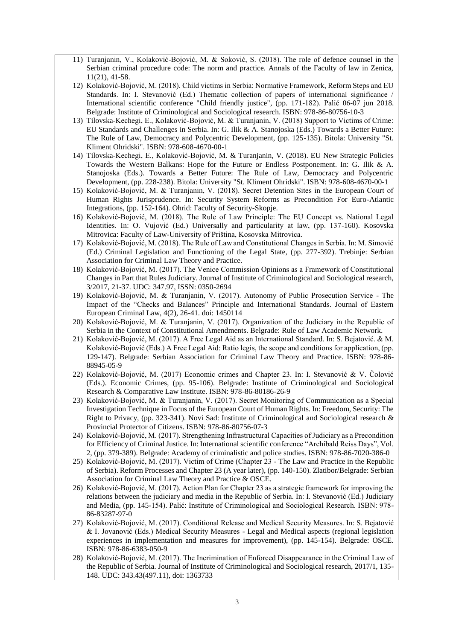- 11) Turanjanin, V., Kolaković-Bojović, M. & Soković, S. (2018). The role of defence counsel in the Serbian criminal procedure code: The norm and practice. Annals of the Faculty of law in Zenica, 11(21), 41-58.
- 12) Kolaković-Bojović, M. (2018). Child victims in Serbia: Normative Framework, Reform Steps and EU Standards. In: I. Stevanović (Ed.) Thematic collection of papers of international significance / International scientific conference "Child friendly justice", (pp. 171-182). Palić 06-07 jun 2018. Belgrade: Institute of Criminological and Sociological research. ISBN: 978-86-80756-10-3
- 13) Tilovska-Kechegi, E., Kolaković-Bojović, M. & Turanjanin, V. (2018) Support to Victims of Crime: EU Standards and Challenges in Serbia. In: G. Ilik & A. Stanojoska (Eds.) Towards a Better Future: The Rule of Law, Democracy and Polycentric Development, (pp. 125-135). Bitola: University "St. Kliment Ohridski". ISBN: 978-608-4670-00-1
- 14) Tilovska-Kechegi, E., Kolaković-Bojović, M. & Turanjanin, V. (2018). EU New Strategic Policies Towards the Western Balkans: Hope for the Future or Endless Postponement. In: G. Ilik & A. Stanojoska (Eds.). Towards a Better Future: The Rule of Law, Democracy and Polycentric Development, (pp. 228-238). Bitola: University "St. Kliment Ohridski". ISBN: 978-608-4670-00-1
- 15) Kolaković-Bojović, M. & Turanjanin, V. (2018). Secret Detention Sites in the European Court of Human Rights Jurisprudence. In: Security System Reforms as Precondition For Euro-Atlantic Integrations, (pp. 152-164). Ohrid: Faculty of Security-Skopje.
- 16) Kolaković-Bojović, M. (2018). The Rule of Law Principle: The EU Concept vs. National Legal Identities. In: O. Vujović (Ed.) Universally and particularity at law, (pp. 137-160). Kosovska Mitrovica: Faculty of Law-University of Priština, Kosovska Mitrovica.
- 17) Kolaković-Bojović, M. (2018). The Rule of Law and Constitutional Changes in Serbia. In: M. Simović (Ed.) Criminal Legislation and Functioning of the Legal State, (pp. 277-392). Trebinje: Serbian Association for Criminal Law Theory and Practice.
- 18) Kolaković-Bojović, M. (2017). The Venice Commission Opinions as a Framework of Constitutional Changes in Part that Rules Judiciary. Journal of Institute of Criminological and Sociological research, 3/2017, 21-37. UDC: 347.97, ISSN: 0350-2694
- 19) Kolaković-Bojović, M. & Turanjanin, V. (2017). Autonomy of Public Prosecution Service The Impact of the "Checks and Balances" Principle and International Standards. Journal of Eastern European Criminal Law, 4(2), 26-41. doi: 1450114
- 20) Kolaković-Bojović, M. & Turanjanin, V. (2017). Organization of the Judiciary in the Republic of Serbia in the Context of Constitutional Amendments. Belgrade: Rule of Law Academic Network.
- 21) Kolaković-Bojović, M. (2017). A Free Legal Aid as an International Standard. In: S. Bejatović. & M. Kolaković-Bojović (Eds.) A Free Legal Aid: Ratio legis, the scope and conditions for application, (pp. 129-147). Belgrade: Serbian Association for Criminal Law Theory and Practice. ISBN: 978-86- 88945-05-9
- 22) Kolaković-Bojović, M. (2017) Economic crimes and Chapter 23. In: I. Stevanović & V. Čolović (Eds.). Economic Crimes, (pp. 95-106). Belgrade: Institute of Criminological and Sociological Research & Comparative Law Institute. ISBN: 978-86-80186-26-9
- 23) Kolaković-Bojović, M. & Turanjanin, V. (2017). Secret Monitoring of Communication as a Special Investigation Technique in Focus of the European Court of Human Rights. In: Freedom, Security: The Right to Privacy, (pp. 323-341). Novi Sad: Institute of Criminological and Sociological research & Provincial Protector of Citizens. ISBN: 978-86-80756-07-3
- 24) Kolaković-Bojović, M. (2017). Strengthening Infrastructural Capacities of Judiciary as a Precondition for Efficiency of Criminal Justice. In: International scientific conference "Archibald Reiss Days", Vol. 2, (pp. 379-389). Belgrade: Academy of criminalistic and police studies. ISBN: 978-86-7020-386-0
- 25) Kolaković-Bojović, M. (2017). Victim of Crime (Chapter 23 The Law and Practice in the Republic of Serbia). Reform Processes and Chapter 23 (A year later), (pp. 140-150). Zlatibor/Belgrade: Serbian Association for Criminal Law Theory and Practice & OSCE.
- 26) Kolaković-Bojović, M. (2017). Action Plan for Chapter 23 as a strategic framework for improving the relations between the judiciary and media in the Republic of Serbia. In: I. Stevanović (Ed.) Judiciary and Media, (pp. 145-154). Palić: Institute of Criminological and Sociological Research. ISBN: 978- 86-83287-97-0
- 27) Kolaković-Bojović, M. (2017). Conditional Release and Medical Security Measures. In: S. Bejatović & I. Jovanović (Eds.) Medical Security Measures - Legal and Medical aspects (regional legislation experiences in implementation and measures for improvement), (pp. 145-154). Belgrade: OSCE. ISBN: 978-86-6383-050-9
- 28) Kolaković-Bojović, M. (2017). The Incrimination of Enforced Disappearance in the Criminal Law of the Republic of Serbia. Journal of Institute of Criminological and Sociological research, 2017/1, 135- 148. UDC: 343.43(497.11), doi: 1363733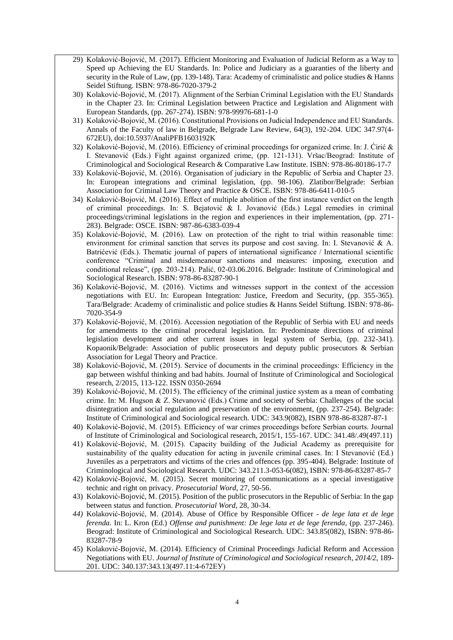- 29) Kolaković-Bojović, M. (2017). Efficient Monitoring and Evaluation of Judicial Reform as a Way to Speed up Achieving the EU Standards. In: Police and Judiciary as a guaranties of the liberty and security in the Rule of Law, (pp. 139-148). Tara: Academy of criminalistic and police studies & Hanns Seidel Stiftung. ISBN: 978-86-7020-379-2
- 30) Kolaković-Bojović, M. (2017). Alignment of the Serbian Criminal Legislation with the EU Standards in the Chapter 23. In: Criminal Legislation between Practice and Legislation and Alignment with European Standards, (pp. 267-274). ISBN: 978-99976-681-1-0
- 31) Kolaković-Bojović, M. (2016). Constitutional Provisions on Judicial Independence and EU Standards. Annals of the Faculty of law in Belgrade, Belgrade Law Review, 64(3), 192-204. UDC 347.97(4- 672EU), doi:10.5937/AnaliPFB1603192K
- 32) Kolaković-Bojović, M. (2016). Efficiency of criminal proceedings for organized crime. In: J. Ćirić & I. Stevanović (Eds.) Fight against organized crime, (pp. 121-131). Vršac/Beograd: Institute of Criminological and Sociological Research & Comparative Law Institute. ISBN: 978-86-80186-17-7
- 33) Kolaković-Bojović, M. (2016). Organisation of judiciary in the Republic of Serbia and Chapter 23. In: European integrations and criminal legislation, (pp. 98-106). Zlatibor/Belgrade: Serbian Association for Criminal Law Theory and Practice & OSCE. ISBN: 978-86-6411-010-5
- 34) Kolaković-Bojović, M. (2016). Effect of multiple abolition of the first instance verdict on the length of criminal proceedings. In: S. Bejatović & I. Jovanović (Eds.) Legal remedies in criminal proceedings/criminal legislations in the region and experiences in their implementation, (pp. 271- 283). Belgrade: OSCE. ISBN: 987-86-6383-039-4
- 35) Kolaković-Bojović, M. (2016). Law on protection of the right to trial within reasonable time: environment for criminal sanction that serves its purpose and cost saving. In: I. Stevanović & A. Batrićević (Eds.). Thematic journal of papers of international significance / International scientific conference "Criminal and misdemeanour sanctions and measures: imposing, execution and conditional release", (pp. 203-214). Palić, 02-03.06.2016. Belgrade: Institute of Criminological and Sociological Research. ISBN: 978-86-83287-90-1
- 36) Kolaković-Bojović, M. (2016). Victims and witnesses support in the context of the accession negotiations with EU. In: European Integration: Justice, Freedom and Security, (pp. 355-365). Tara/Belgrade: Academy of criminalistic and police studies & Hanns Seidel Stiftung. ISBN: 978-86- 7020-354-9
- 37) Kolaković-Bojović, M. (2016). Accession negotiation of the Republic of Serbia with EU and needs for amendments to the criminal procedural legislation. In: Predominate directions of criminal legislation development and other current issues in legal system of Serbia, (pp. 232-341). Kopaonik/Belgrade: Association of public prosecutors and deputy public prosecutors & Serbian Association for Legal Theory and Practice.
- 38) Kolaković-Bojović, M. (2015). Service of documents in the criminal proceedings: Efficiency in the gap between wishful thinking and bad habits. Journal of Institute of Criminological and Sociological research, 2/2015, 113-122. ISSN 0350-2694
- 39) Kolaković-Bojović, M. (2015). The efficiency of the criminal justice system as a mean of combating crime. In: M. Hugson & Z. Stevanović (Eds.) Crime and society of Serbia: Challenges of the social disintegration and social regulation and preservation of the environment, (pp. 237-254). Belgrade: Institute of Criminological and Sociological research. UDC: 343.9(082), ISBN 978-86-83287-87-1
- 40) Kolaković-Bojović, M. (2015). Efficiency of war crimes proceedings before Serbian courts. Journal of Institute of Criminological and Sociological research, 2015/1, 155-167. UDC: 341.48/.49(497.11)
- 41) Kolaković-Bojović, M. (2015). Capacity building of the Judicial Academy as prerequisite for sustainability of the quality education for acting in juvenile criminal cases. In: I Stevanović (Ed.) Juveniles as a perpetrators and victims of the cries and offences (pp. 395-404). Belgrade: Institute of Criminological and Sociological Research. UDC: 343.211.3-053-6(082), ISBN: 978-86-83287-85-7
- 42) Kolaković-Bojović, M. (2015). Secret monitoring of communications as a special investigative technic and right on privacy. *Prosecutorial Word*, 27, 50-56.
- 43) Kolaković-Bojović, M. (2015). Position of the public prosecutors in the Republic of Serbia: In the gap between status and function. *Prosecutorial Word*, 28, 30-34.
- *44)* Kolaković-Bojović, M. (2014). Abuse of Office by Responsible Officer *de lege lata et de lege ferenda.* In: L. Kron (Ed.) *Offense and punishment: De lege lata et de lege ferenda,* (pp. 237-246). Beograd: Institute of Criminological and Sociological Research. UDC: 343.85(082), ISBN: 978-86- 83287-78-9
- 45) Kolaković-Bojović, M. (2014). Efficiency of Criminal Proceedings Judicial Reform and Accession Negotiations with EU. *Journal of Institute of Criminological and Sociological research*, *2014/2*, 189- 201. UDC: 340.137:343.13(497.11:4-672ЕУ)